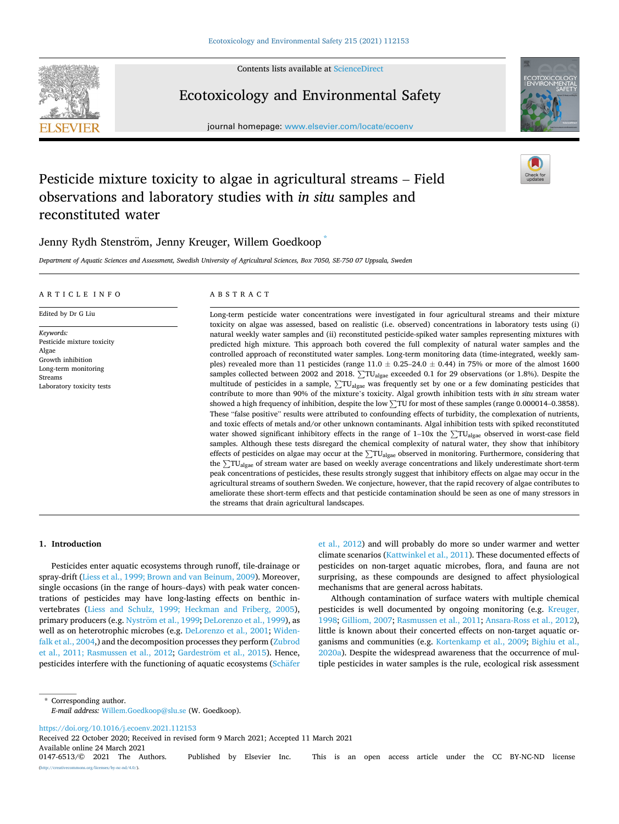Contents lists available at [ScienceDirect](www.sciencedirect.com/science/journal/01476513)



# Ecotoxicology and Environmental Safety

journal homepage: [www.elsevier.com/locate/ecoenv](https://www.elsevier.com/locate/ecoenv) 



# Pesticide mixture toxicity to algae in agricultural streams – Field observations and laboratory studies with *in situ* samples and reconstituted water

# Jenny Rydh Stenström, Jenny Kreuger, Willem Goedkoop

*Department of Aquatic Sciences and Assessment, Swedish University of Agricultural Sciences, Box 7050, SE-750 07 Uppsala, Sweden* 

#### ARTICLE INFO

Pesticide mixture toxicity

Laboratory toxicity tests

Edited by Dr G Liu

Growth inhibition Long-term monitoring

*Keywords:* 

Algae

Streams

#### ABSTRACT

Long-term pesticide water concentrations were investigated in four agricultural streams and their mixture toxicity on algae was assessed, based on realistic (i.e. observed) concentrations in laboratory tests using (i) natural weekly water samples and (ii) reconstituted pesticide-spiked water samples representing mixtures with predicted high mixture. This approach both covered the full complexity of natural water samples and the controlled approach of reconstituted water samples. Long-term monitoring data (time-integrated, weekly samples) revealed more than 11 pesticides (range  $11.0 \pm 0.25 - 24.0 \pm 0.44$ ) in 75% or more of the almost 1600 samples collected between 2002 and 2018. ∑TU<sub>algae</sub> exceeded 0.1 for 29 observations (or 1.8%). Despite the multitude of pesticides in a sample,  $\Sigma T U_{\text{algae}}$  was frequently set by one or a few dominating pesticides that contribute to more than 90% of the mixture's toxicity. Algal growth inhibition tests with *in situ* stream water showed a high frequency of inhibition, despite the low  $\Sigma$ TU for most of these samples (range 0.000014–0.3858). These "false positive" results were attributed to confounding effects of turbidity, the complexation of nutrients, and toxic effects of metals and/or other unknown contaminants. Algal inhibition tests with spiked reconstituted water showed significant inhibitory effects in the range of 1–10x the  $\Sigma T U_{\text{algae}}$  observed in worst-case field samples. Although these tests disregard the chemical complexity of natural water, they show that inhibitory effects of pesticides on algae may occur at the  $\sum T U_{\rm{algae}}$  observed in monitoring. Furthermore, considering that the ∑TUalgae of stream water are based on weekly average concentrations and likely underestimate short-term peak concentrations of pesticides, these results strongly suggest that inhibitory effects on algae may occur in the agricultural streams of southern Sweden. We conjecture, however, that the rapid recovery of algae contributes to ameliorate these short-term effects and that pesticide contamination should be seen as one of many stressors in the streams that drain agricultural landscapes.

## **1. Introduction**

Pesticides enter aquatic ecosystems through runoff, tile-drainage or spray-drift [\(Liess et al., 1999; Brown and van Beinum, 2009](#page-9-0)). Moreover, single occasions (in the range of hours–days) with peak water concentrations of pesticides may have long-lasting effects on benthic invertebrates [\(Liess and Schulz, 1999; Heckman and Friberg, 2005](#page-9-0)), primary producers (e.g. Nyström [et al., 1999](#page-9-0); [DeLorenzo et al., 1999](#page-8-0)), as well as on heterotrophic microbes (e.g. [DeLorenzo et al., 2001;](#page-8-0) [Widen](#page-9-0)[falk et al., 2004](#page-9-0),) and the decomposition processes they perform [\(Zubrod](#page-9-0)  [et al., 2011; Rasmussen et al., 2012](#page-9-0); Gardeström et al., 2015). Hence, pesticides interfere with the functioning of aquatic ecosystems (Schäfer [et al., 2012](#page-9-0)) and will probably do more so under warmer and wetter climate scenarios ([Kattwinkel et al., 2011](#page-8-0)). These documented effects of pesticides on non-target aquatic microbes, flora, and fauna are not surprising, as these compounds are designed to affect physiological mechanisms that are general across habitats.

Although contamination of surface waters with multiple chemical pesticides is well documented by ongoing monitoring (e.g. [Kreuger,](#page-9-0)  [1998;](#page-9-0) [Gilliom, 2007;](#page-8-0) [Rasmussen et al., 2011;](#page-9-0) [Ansara-Ross et al., 2012](#page-8-0)), little is known about their concerted effects on non-target aquatic organisms and communities (e.g. [Kortenkamp et al., 2009;](#page-9-0) [Bighiu et al.,](#page-8-0)  [2020a\)](#page-8-0). Despite the widespread awareness that the occurrence of multiple pesticides in water samples is the rule, ecological risk assessment

\* Corresponding author. *E-mail address:* [Willem.Goedkoop@slu.se](mailto:Willem.Goedkoop@slu.se) (W. Goedkoop).

<https://doi.org/10.1016/j.ecoenv.2021.112153>

Available online 24 March 2021<br>0147-6513/© 2021 The Authors. Published by Elsevier Inc. This is an open access article under the CC BY-NC-ND license (http://eref.commons.org/licenses/by-nc-nd/4.0/). Received 22 October 2020; Received in revised form 9 March 2021; Accepted 11 March 2021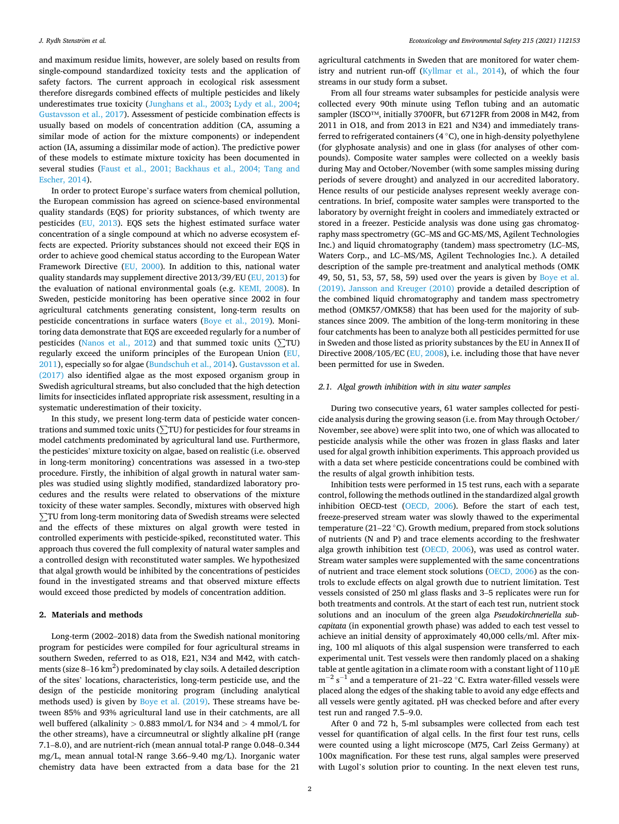and maximum residue limits, however, are solely based on results from single-compound standardized toxicity tests and the application of safety factors. The current approach in ecological risk assessment therefore disregards combined effects of multiple pesticides and likely underestimates true toxicity [\(Junghans et al., 2003](#page-8-0); [Lydy et al., 2004](#page-9-0); [Gustavsson et al., 2017](#page-8-0)). Assessment of pesticide combination effects is usually based on models of concentration addition (CA, assuming a similar mode of action for the mixture components) or independent action (IA, assuming a dissimilar mode of action). The predictive power of these models to estimate mixture toxicity has been documented in several studies [\(Faust et al., 2001; Backhaus et al., 2004; Tang and](#page-8-0)  [Escher, 2014](#page-8-0)).

In order to protect Europe's surface waters from chemical pollution, the European commission has agreed on science-based environmental quality standards (EQS) for priority substances, of which twenty are pesticides ([EU, 2013](#page-8-0)). EQS sets the highest estimated surface water concentration of a single compound at which no adverse ecosystem effects are expected. Priority substances should not exceed their EQS in order to achieve good chemical status according to the European Water Framework Directive ([EU, 2000](#page-8-0)). In addition to this, national water quality standards may supplement directive 2013/39/EU ([EU, 2013\)](#page-8-0) for the evaluation of national environmental goals (e.g. [KEMI, 2008\)](#page-9-0). In Sweden, pesticide monitoring has been operative since 2002 in four agricultural catchments generating consistent, long-term results on pesticide concentrations in surface waters [\(Boye et al., 2019](#page-8-0)). Monitoring data demonstrate that EQS are exceeded regularly for a number of pesticides ([Nanos et al., 2012](#page-9-0)) and that summed toxic units ( $\Sigma$ TU) regularly exceed the uniform principles of the European Union [\(EU,](#page-8-0)  [2011\)](#page-8-0), especially so for algae ([Bundschuh et al., 2014](#page-8-0)). [Gustavsson et al.](#page-8-0)  [\(2017\)](#page-8-0) also identified algae as the most exposed organism group in Swedish agricultural streams, but also concluded that the high detection limits for insecticides inflated appropriate risk assessment, resulting in a systematic underestimation of their toxicity.

In this study, we present long-term data of pesticide water concen-In this study, we present long-term data or pesticide water concentrations and summed toxic units  $(\Sigma TU)$  for pesticides for four streams in model catchments predominated by agricultural land use. Furthermore, the pesticides' mixture toxicity on algae, based on realistic (i.e. observed in long-term monitoring) concentrations was assessed in a two-step procedure. Firstly, the inhibition of algal growth in natural water samples was studied using slightly modified, standardized laboratory procedures and the results were related to observations of the mixture toxicity of these water samples. Secondly, mixtures with observed high <sup>∑</sup>TU from long-term monitoring data of Swedish streams were selected and the effects of these mixtures on algal growth were tested in controlled experiments with pesticide-spiked, reconstituted water. This approach thus covered the full complexity of natural water samples and a controlled design with reconstituted water samples. We hypothesized that algal growth would be inhibited by the concentrations of pesticides found in the investigated streams and that observed mixture effects would exceed those predicted by models of concentration addition.

## **2. Materials and methods**

Long-term (2002–2018) data from the Swedish national monitoring program for pesticides were compiled for four agricultural streams in southern Sweden, referred to as O18, E21, N34 and M42, with catchments (size 8–16 km<sup>2</sup>) predominated by clay soils. A detailed description of the sites' locations, characteristics, long-term pesticide use, and the design of the pesticide monitoring program (including analytical methods used) is given by [Boye et al. \(2019\).](#page-8-0) These streams have between 85% and 93% agricultural land use in their catchments, are all well buffered (alkalinity *>* 0.883 mmol/L for N34 and *>* 4 mmol/L for the other streams), have a circumneutral or slightly alkaline pH (range 7.1–8.0), and are nutrient-rich (mean annual total-P range 0.048–0.344 mg/L, mean annual total-N range 3.66–9.40 mg/L). Inorganic water chemistry data have been extracted from a data base for the 21

agricultural catchments in Sweden that are monitored for water chemistry and nutrient run-off ([Kyllmar et al., 2014](#page-9-0)), of which the four streams in our study form a subset.

From all four streams water subsamples for pesticide analysis were collected every 90th minute using Teflon tubing and an automatic sampler (ISCO™, initially 3700FR, but 6712FR from 2008 in M42, from 2011 in O18, and from 2013 in E21 and N34) and immediately transferred to refrigerated containers (4 ◦C), one in high-density polyethylene (for glyphosate analysis) and one in glass (for analyses of other compounds). Composite water samples were collected on a weekly basis during May and October/November (with some samples missing during periods of severe drought) and analyzed in our accredited laboratory. Hence results of our pesticide analyses represent weekly average concentrations. In brief, composite water samples were transported to the laboratory by overnight freight in coolers and immediately extracted or stored in a freezer. Pesticide analysis was done using gas chromatography mass spectrometry (GC–MS and GC-MS/MS, Agilent Technologies Inc.) and liquid chromatography (tandem) mass spectrometry (LC–MS, Waters Corp., and LC–MS/MS, Agilent Technologies Inc.). A detailed description of the sample pre-treatment and analytical methods (OMK 49, 50, 51, 53, 57, 58, 59) used over the years is given by [Boye et al.](#page-8-0)  [\(2019\).](#page-8-0) [Jansson and Kreuger \(2010\)](#page-8-0) provide a detailed description of the combined liquid chromatography and tandem mass spectrometry method (OMK57/OMK58) that has been used for the majority of substances since 2009. The ambition of the long-term monitoring in these four catchments has been to analyze both all pesticides permitted for use in Sweden and those listed as priority substances by the EU in Annex II of Directive 2008/105/EC ([EU, 2008](#page-8-0)), i.e. including those that have never been permitted for use in Sweden.

## *2.1. Algal growth inhibition with in situ water samples*

During two consecutive years, 61 water samples collected for pesticide analysis during the growing season (i.e. from May through October/ November, see above) were split into two, one of which was allocated to pesticide analysis while the other was frozen in glass flasks and later used for algal growth inhibition experiments. This approach provided us with a data set where pesticide concentrations could be combined with the results of algal growth inhibition tests.

Inhibition tests were performed in 15 test runs, each with a separate control, following the methods outlined in the standardized algal growth inhibition OECD-test [\(OECD, 2006](#page-9-0)). Before the start of each test, freeze-preserved stream water was slowly thawed to the experimental temperature (21–22 ◦C). Growth medium, prepared from stock solutions of nutrients (N and P) and trace elements according to the freshwater alga growth inhibition test ([OECD, 2006](#page-9-0)), was used as control water. Stream water samples were supplemented with the same concentrations of nutrient and trace element stock solutions [\(OECD, 2006\)](#page-9-0) as the controls to exclude effects on algal growth due to nutrient limitation. Test vessels consisted of 250 ml glass flasks and 3–5 replicates were run for both treatments and controls. At the start of each test run, nutrient stock solutions and an inoculum of the green alga *Pseudokirchneriella subcapitata* (in exponential growth phase) was added to each test vessel to achieve an initial density of approximately 40,000 cells/ml. After mixing, 100 ml aliquots of this algal suspension were transferred to each experimental unit. Test vessels were then randomly placed on a shaking table at gentle agitation in a climate room with a constant light of  $110 \mu E$ m<sup>-2</sup> s<sup>-1</sup> and a temperature of 21–22 °C. Extra water-filled vessels were placed along the edges of the shaking table to avoid any edge effects and all vessels were gently agitated. pH was checked before and after every test run and ranged 7.5–9.0.

After 0 and 72 h, 5-ml subsamples were collected from each test vessel for quantification of algal cells. In the first four test runs, cells were counted using a light microscope (M75, Carl Zeiss Germany) at 100x magnification. For these test runs, algal samples were preserved with Lugol's solution prior to counting. In the next eleven test runs,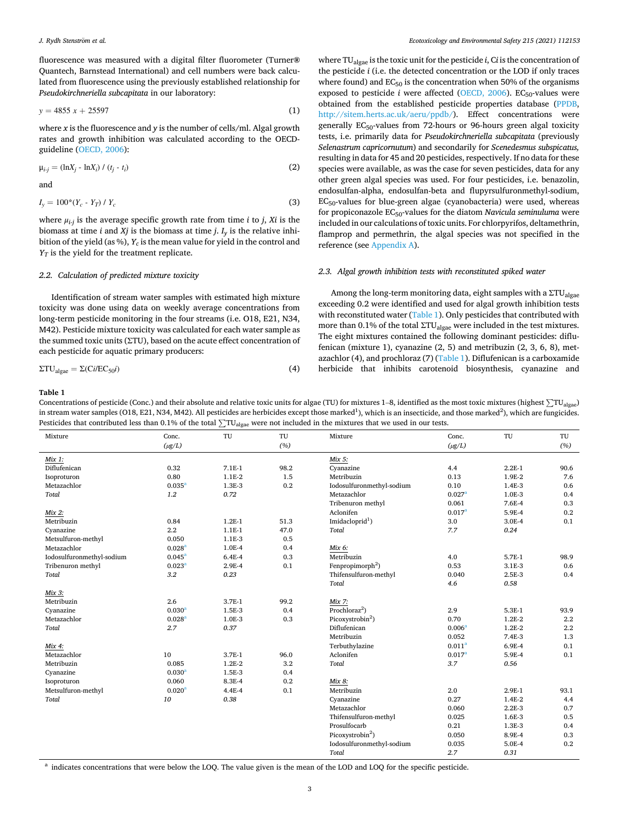<span id="page-2-0"></span>fluorescence was measured with a digital filter fluorometer (Turner**®**  Quantech, Barnstead International) and cell numbers were back calculated from fluorescence using the previously established relationship for *Pseudokirchneriella subcapitata* in our laboratory:

$$
y = 4855 x + 25597 \tag{1}
$$

where *x* is the fluorescence and *y* is the number of cells/ml. Algal growth rates and growth inhibition was calculated according to the OECDguideline ([OECD, 2006](#page-9-0)):

$$
\mu_{i\cdot j} = (\ln X_j - \ln X_i) / (t_j - t_i) \tag{2}
$$

and

$$
I_y = 100^*(Y_c - Y_T) / Y_c
$$
\n(3)

where  $\mu_{i-j}$  is the average specific growth rate from time *i* to *j*, *Xi* is the biomass at time *i* and *Xj* is the biomass at time *j*.  $I_v$  is the relative inhibition of the yield (as %), *Yc* is the mean value for yield in the control and  $Y_T$  is the yield for the treatment replicate.

#### *2.2. Calculation of predicted mixture toxicity*

Identification of stream water samples with estimated high mixture toxicity was done using data on weekly average concentrations from long-term pesticide monitoring in the four streams (i.e. O18, E21, N34, M42). Pesticide mixture toxicity was calculated for each water sample as the summed toxic units (ΣTU), based on the acute effect concentration of each pesticide for aquatic primary producers:

$$
\Sigma \text{T} \text{U}_{\text{algae}} = \Sigma (\text{Ci/EC}_{50} i) \tag{4}
$$

where TUalgae is the toxic unit for the pesticide *i*, C*i* is the concentration of the pesticide *i* (i.e. the detected concentration or the LOD if only traces where found) and  $EC_{50}$  is the concentration when 50% of the organisms exposed to pesticide *i* were affected [\(OECD, 2006\)](#page-9-0). EC<sub>50</sub>-values were obtained from the established pesticide properties database ([PPDB](#page-9-0), [http://sitem.herts.ac.uk/aeru/ppdb/\)](http://sitem.herts.ac.uk/aeru/ppdb/). Effect concentrations were generally  $EC_{50}$ -values from 72-hours or 96-hours green algal toxicity tests, i.e. primarily data for *Pseudokirchneriella subcapitata* (previously *Selenastrum capricornutum*) and secondarily for *Scenedesmus subspicatus,*  resulting in data for 45 and 20 pesticides, respectively. If no data for these species were available, as was the case for seven pesticides, data for any other green algal species was used. For four pesticides, i.e. benazolin, endosulfan-alpha, endosulfan-beta and flupyrsulfuronmethyl-sodium, EC50-values for blue-green algae (cyanobacteria) were used, whereas for propiconazole EC50-values for the diatom *Navicula seminuluma* were included in our calculations of toxic units. For chlorpyrifos, deltamethrin, flamprop and permethrin, the algal species was not specified in the reference (see [Appendix A\)](#page-7-0).

#### *2.3. Algal growth inhibition tests with reconstituted spiked water*

Among the long-term monitoring data, eight samples with a  $\Sigma T U_{\rm algae}$ exceeding 0.2 were identified and used for algal growth inhibition tests with reconstituted water (Table 1). Only pesticides that contributed with more than 0.1% of the total  $\Sigma T U_{\text{algae}}$  were included in the test mixtures. The eight mixtures contained the following dominant pesticides: diflufenican (mixture 1), cyanazine (2, 5) and metribuzin (2, 3, 6, 8), metazachlor (4), and prochloraz (7) (Table 1). Diflufenican is a carboxamide herbicide that inhibits carotenoid biosynthesis, cyanazine and

#### **Table 1**

Concentrations of pesticide (Conc.) and their absolute and relative toxic units for algae (TU) for mixtures 1–8, identified as the most toxic mixtures (highest ∑TU<sub>algae</sub>) in stream water samples (O18, E21, N34, M42). All pesticides are herbicides except those marked<sup>1</sup>), which is an insecticide, and those marked<sup>2</sup>), which are fungicides. Pesticides that contributed less than 0.1% of the total ∑TU<sub>algae</sub> were not included in the mixtures that we used in our tests.

| Mixture                   | Conc.              | TU         | TU   | Mixture                      | Conc.              | TU       | TU      |
|---------------------------|--------------------|------------|------|------------------------------|--------------------|----------|---------|
|                           | $(\mu g/L)$        |            | (%)  |                              | $(\mu g/L)$        |          | (%)     |
| Mix 1:                    |                    |            |      | Mix 5:                       |                    |          |         |
| Diflufenican              | 0.32               | $7.1E-1$   | 98.2 | Cyanazine                    | 4.4                | $2.2E-1$ | 90.6    |
| Isoproturon               | 0.80               | 1.1E-2     | 1.5  | Metribuzin                   | 0.13               | 1.9E-2   | 7.6     |
| Metazachlor               | 0.035 <sup>a</sup> | 1.3E-3     | 0.2  | Iodosulfuronmethyl-sodium    | 0.10               | 1.4E-3   | 0.6     |
| Total                     | 1.2                | 0.72       |      | Metazachlor                  | 0.027 <sup>a</sup> | 1.0E-3   | 0.4     |
|                           |                    |            |      | Tribenuron methyl            | 0.061              | 7.6E-4   | 0.3     |
| Mix 2:                    |                    |            |      | Aclonifen                    | $0.017^{\rm a}$    | 5.9E-4   | 0.2     |
| Metribuzin                | 0.84               | $1.2E-1$   | 51.3 | Imidacloprid <sup>1</sup> )  | 3.0                | 3.0E-4   | 0.1     |
| Cyanazine                 | $2.2\,$            | 1.1E-1     | 47.0 | Total                        | 7.7                | 0.24     |         |
| Metsulfuron-methyl        | 0.050              | 1.1E-3     | 0.5  |                              |                    |          |         |
| Metazachlor               | 0.028 <sup>a</sup> | 1.0E-4     | 0.4  | Mix 6:                       |                    |          |         |
| Iodosulfuronmethyl-sodium | $0.045^a$          | $6.4E-4$   | 0.3  | Metribuzin                   | 4.0                | 5.7E-1   | 98.9    |
| Tribenuron methyl         | 0.023 <sup>a</sup> | 2.9E-4     | 0.1  | Fenpropimorph <sup>2</sup> ) | 0.53               | 3.1E-3   | 0.6     |
| Total                     | 3.2                | 0.23       |      | Thifensulfuron-methyl        | 0.040              | 2.5E-3   | 0.4     |
|                           |                    |            |      | Total                        | 4.6                | 0.58     |         |
| Mix 3:                    |                    |            |      |                              |                    |          |         |
| Metribuzin                | 2.6                | 3.7E-1     | 99.2 | Mix 7:                       |                    |          |         |
| Cyanazine                 | 0.030 <sup>a</sup> | 1.5E-3     | 0.4  | Prochloraz <sup>2</sup> )    | 2.9                | 5.3E-1   | 93.9    |
| Metazachlor               | $0.028^{a}$        | 1.0E-3     | 0.3  | Picoxystrobin <sup>2</sup> ) | 0.70               | $1.2E-2$ | $2.2\,$ |
| Total                     | 2.7                | 0.37       |      | Diflufenican                 | $0.006^{a}$        | $1.2E-2$ | 2.2     |
|                           |                    |            |      | Metribuzin                   | 0.052              | 7.4E-3   | 1.3     |
| Mix 4:                    |                    |            |      | Terbuthylazine               | $0.011^{a}$        | 6.9E-4   | 0.1     |
| Metazachlor               | 10                 | 3.7E-1     | 96.0 | Aclonifen                    | 0.017 <sup>a</sup> | 5.9E-4   | 0.1     |
| Metribuzin                | 0.085              | 1.2E-2     | 3.2  | <b>Total</b>                 | 3.7                | 0.56     |         |
| Cyanazine                 | 0.030 <sup>a</sup> | 1.5E-3     | 0.4  |                              |                    |          |         |
| Isoproturon               | 0.060              | 8.3E-4     | 0.2  | Mix 8:                       |                    |          |         |
| Metsulfuron-methyl        | 0.020 <sup>3</sup> | $4.4E - 4$ | 0.1  | Metribuzin                   | 2.0                | 2.9E-1   | 93.1    |
| Total                     | 10                 | 0.38       |      | Cyanazine                    | 0.27               | 1.4E-2   | 4.4     |
|                           |                    |            |      | Metazachlor                  | 0.060              | $2.2E-3$ | 0.7     |
|                           |                    |            |      | Thifensulfuron-methyl        | 0.025              | 1.6E-3   | 0.5     |
|                           |                    |            |      | Prosulfocarb                 | 0.21               | 1.3E-3   | 0.4     |
|                           |                    |            |      | Picoxystrobin <sup>2</sup> ) | 0.050              | 8.9E-4   | 0.3     |
|                           |                    |            |      | Iodosulfuronmethyl-sodium    | 0.035              | 5.0E-4   | 0.2     |
|                           |                    |            |      | <b>Total</b>                 | 2.7                | 0.31     |         |

<sup>a</sup> indicates concentrations that were below the LOQ. The value given is the mean of the LOD and LOQ for the specific pesticide.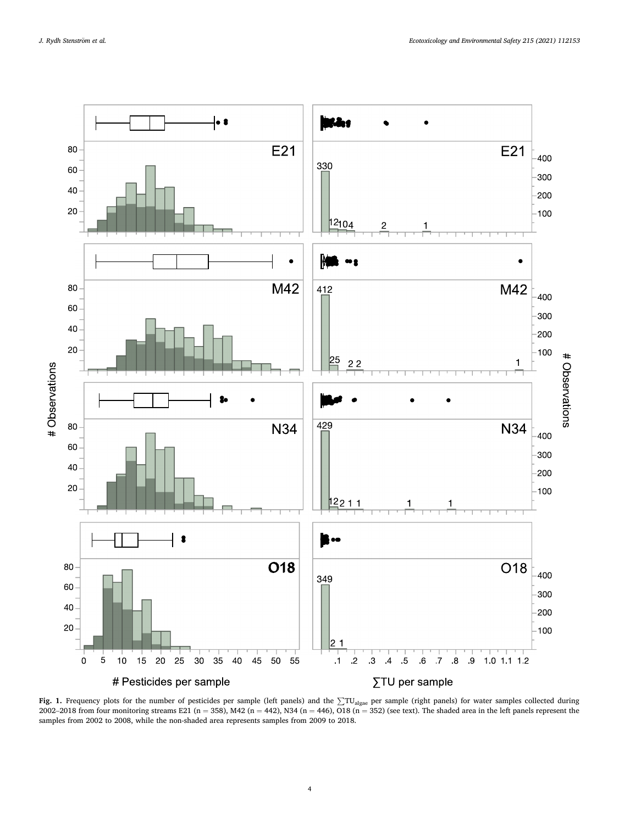<span id="page-3-0"></span>

Fig. 1. Frequency plots for the number of pesticides per sample (left panels) and the ∑TU<sub>algae</sub> per sample (right panels) for water samples collected during 2002–2018 from four monitoring streams E21 (n = 358), M42 (n = 442), N34 (n = 446), O18 (n = 352) (see text). The shaded area in the left panels represent the samples from 2002 to 2008, while the non-shaded area represents samples from 2009 to 2018.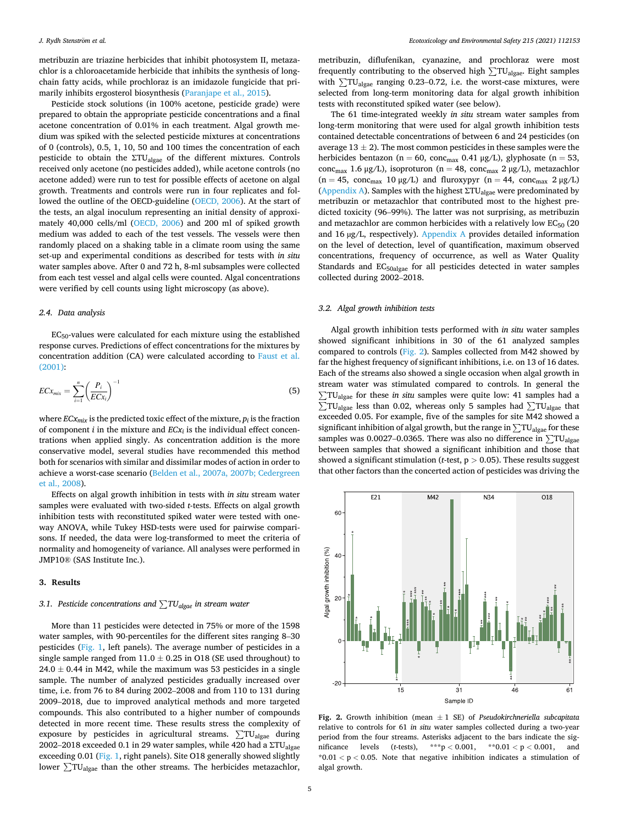<span id="page-4-0"></span>metribuzin are triazine herbicides that inhibit photosystem II, metazachlor is a chloroacetamide herbicide that inhibits the synthesis of longchain fatty acids, while prochloraz is an imidazole fungicide that primarily inhibits ergosterol biosynthesis ([Paranjape et al., 2015\)](#page-9-0).

Pesticide stock solutions (in 100% acetone, pesticide grade) were prepared to obtain the appropriate pesticide concentrations and a final acetone concentration of 0.01% in each treatment. Algal growth medium was spiked with the selected pesticide mixtures at concentrations of 0 (controls), 0.5, 1, 10, 50 and 100 times the concentration of each pesticide to obtain the  $\Sigma T U_{\text{algae}}$  of the different mixtures. Controls received only acetone (no pesticides added), while acetone controls (no acetone added) were run to test for possible effects of acetone on algal growth. Treatments and controls were run in four replicates and followed the outline of the OECD-guideline ([OECD, 2006](#page-9-0)). At the start of the tests, an algal inoculum representing an initial density of approximately 40,000 cells/ml ([OECD, 2006\)](#page-9-0) and 200 ml of spiked growth medium was added to each of the test vessels. The vessels were then randomly placed on a shaking table in a climate room using the same set-up and experimental conditions as described for tests with *in situ*  water samples above. After 0 and 72 h, 8-ml subsamples were collected from each test vessel and algal cells were counted. Algal concentrations were verified by cell counts using light microscopy (as above).

#### *2.4. Data analysis*

EC50-values were calculated for each mixture using the established response curves. Predictions of effect concentrations for the mixtures by concentration addition (CA) were calculated according to [Faust et al.](#page-8-0)  [\(2001\):](#page-8-0)

$$
ECx_{mix} = \sum_{i=1}^{n} \left(\frac{P_i}{ECx_i}\right)^{-1} \tag{5}
$$

where  $ECx_{mix}$  is the predicted toxic effect of the mixture,  $p_i$  is the fraction of component  $i$  in the mixture and  $ECx_i$  is the individual effect concentrations when applied singly. As concentration addition is the more conservative model, several studies have recommended this method both for scenarios with similar and dissimilar modes of action in order to achieve a worst-case scenario ([Belden et al., 2007a, 2007b; Cedergreen](#page-8-0)  [et al., 2008\)](#page-8-0).

Effects on algal growth inhibition in tests with *in situ* stream water samples were evaluated with two-sided *t*-tests. Effects on algal growth inhibition tests with reconstituted spiked water were tested with oneway ANOVA, while Tukey HSD-tests were used for pairwise comparisons. If needed, the data were log-transformed to meet the criteria of normality and homogeneity of variance. All analyses were performed in JMP10® (SAS Institute Inc.).

## **3. Results**

# *3.1. Pesticide concentrations and* ∑*TUalgae in stream water*

More than 11 pesticides were detected in 75% or more of the 1598 water samples, with 90-percentiles for the different sites ranging 8–30 pesticides [\(Fig. 1,](#page-3-0) left panels). The average number of pesticides in a single sample ranged from  $11.0 \pm 0.25$  in O18 (SE used throughout) to  $24.0 \pm 0.44$  in M42, while the maximum was 53 pesticides in a single sample. The number of analyzed pesticides gradually increased over time, i.e. from 76 to 84 during 2002–2008 and from 110 to 131 during 2009–2018, due to improved analytical methods and more targeted compounds. This also contributed to a higher number of compounds detected in more recent time. These results stress the complexity of exposure by pesticides in agricultural streams. ∑TUalgae during 2002–2018 exceeded 0.1 in 29 water samples, while 420 had a ΣTU<sub>algae</sub> exceeding 0.01 [\(Fig. 1,](#page-3-0) right panels). Site O18 generally showed slightly lower ∑TUalgae than the other streams. The herbicides metazachlor,

metribuzin, diflufenikan, cyanazine, and prochloraz were most frequently contributing to the observed high  $\sum TU_{\text{algae}}$ . Eight samples with ∑TU<sub>algae</sub> ranging 0.23–0.72, i.e. the worst-case mixtures, were selected from long-term monitoring data for algal growth inhibition tests with reconstituted spiked water (see below).

The 61 time-integrated weekly *in situ* stream water samples from long-term monitoring that were used for algal growth inhibition tests contained detectable concentrations of between 6 and 24 pesticides (on average  $13 \pm 2$ ). The most common pesticides in these samples were the herbicides bentazon (n = 60, conc<sub>max</sub> 0.41  $\mu$ g/L), glyphosate (n = 53, conc<sub>max</sub> 1.6 μg/L), isoproturon (n = 48, conc<sub>max</sub> 2 μg/L), metazachlor  $(n = 45, \text{ conc}_{\text{max}} 10 \mu g/L)$  and fluroxypyr  $(n = 44, \text{ conc}_{\text{max}} 2 \mu g/L)$ ([Appendix A\)](#page-7-0). Samples with the highest  $\Sigma T U_{\text{algae}}$  were predominated by metribuzin or metazachlor that contributed most to the highest predicted toxicity (96–99%). The latter was not surprising, as metribuzin and metazachlor are common herbicides with a relatively low  $EC_{50}$  (20 and 16 µg/L, respectively). [Appendix A](#page-7-0) provides detailed information on the level of detection, level of quantification, maximum observed concentrations, frequency of occurrence, as well as Water Quality Standards and EC<sub>50algae</sub> for all pesticides detected in water samples collected during 2002–2018.

#### *3.2. Algal growth inhibition tests*

Algal growth inhibition tests performed with *in situ* water samples showed significant inhibitions in 30 of the 61 analyzed samples compared to controls (Fig. 2). Samples collected from M42 showed by far the highest frequency of significant inhibitions, i.e. on 13 of 16 dates. Each of the streams also showed a single occasion when algal growth in stream water was stimulated compared to controls. In general the ∑TU<sub>algae</sub> for these *in situ* samples were quite low: 41 samples had a ∑TU<sub>algae</sub> that  $\Sigma$ TU<sub>algae</sub> that exceeded 0.05. For example, five of the samples for site M42 showed a significant inhibition of algal growth, but the range in  $\Sigma T U_{\text{algae}}$  for these samples was 0.0027–0.0365. There was also no difference in  $\sum \text{TU}_{\text{algae}}$ between samples that showed a significant inhibition and those that showed a significant stimulation (*t*-test, p *>* 0.05). These results suggest that other factors than the concerted action of pesticides was driving the



**Fig. 2.** Growth inhibition (mean ± 1 SE) of *Pseudokirchneriella subcapitata*  relative to controls for 61 *in situ* water samples collected during a two-year period from the four streams. Asterisks adjacent to the bars indicate the significance levels (*t*-tests), \*\*\*p *<* 0.001, \*\*0.01 *<* p *<* 0.001, and  $*0.01 < p < 0.05$ . Note that negative inhibition indicates a stimulation of algal growth.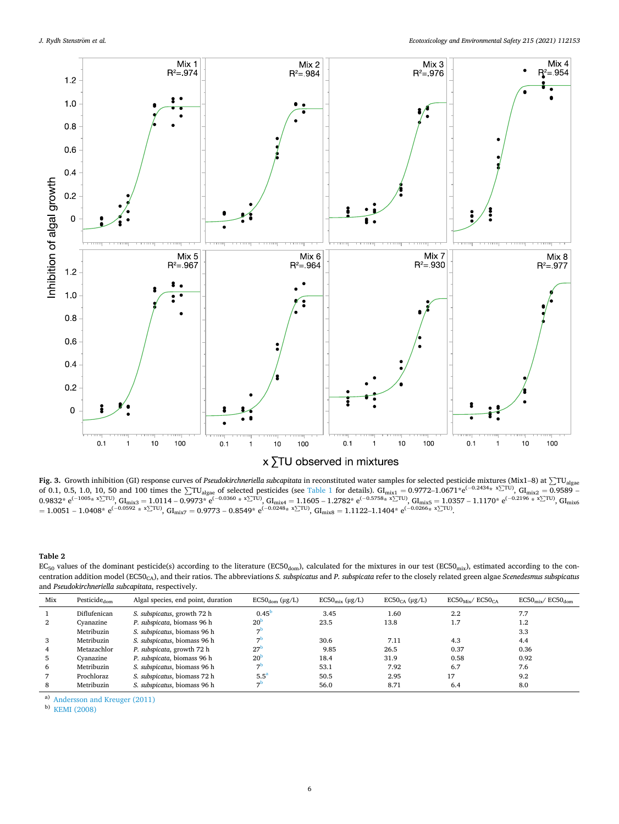<span id="page-5-0"></span>

Fig. 3. Growth inhibition (GI) response curves of *Pseudokirchneriella subcapitata* in reconstituted water samples for selected pesticide mixtures (Mix1–8) at ∑TU<sub>algae</sub> of 0.1, 0.5, 1.0, 10, 50 and 100 times the  $\sum T U_{\text{algae}}$  of selected pesticides (see [Table 1](#page-2-0) for details). GI<sub>mix1</sub> = 0.9772–1.0671\*e<sup>(-0.2434\*</sup>  $\sum T U$ ), GI<sub>mix2</sub> = 0.9589 –  $0.9832^*$  e<sup>(−1005</sup>\* x<sup>2</sup>TU), GI<sub>mix3</sub> = 1.0114 – 0.9973<sup>\*</sup> e<sup>(−0.0360</sup> \* x<sup>2</sup><sup>TU)</sup>, GI<sub>mix4</sub> = 1.1605 – 1.2782<sup>\*</sup> e<sup>(−0.5758</sup>\* <sup>x</sup><sub>2</sub><sup>TU)</sup>, GI<sub>mix5</sub> = 1.0357 – 1.1170<sup>\*</sup> e<sup>(−0.2196</sup> \* <sup>x</sup><sub>2</sub><sup>TU)</sup>, GI<sub>mix6</sub> = 1.0357 – 1  $= 1.0051 - 1.0408*$  e<sup>(-0.0592</sup> \*  $\times$  ΣTU), GI<sub>mix7</sub> = 0.9773 – 0.8549<sup>\*</sup> e<sup>(-0.0248</sup>\* x∑TU), GI<sub>mix8</sub> = 1.1122–1.1404<sup>\*</sup> e<sup>(-0.0266</sup>\* x∑TU)</sup>.

**Table 2** 

 $EC_{50}$  values of the dominant pesticide(s) according to the literature (EC50<sub>dom</sub>), calculated for the mixtures in our test (EC50<sub>mix</sub>), estimated according to the concentration addition model (EC50CA), and their ratios. The abbreviations *S. subspicatus* and *P. subspicata* refer to the closely related green algae *Scenedesmus subspicatus*  and *Pseudokirchneriella subcapitata*, respectively.

| 0.45 <sup>b</sup><br>2.2<br>Diflufenican<br>1.60<br>S. subspicatus, growth 72 h<br>3.45<br>7.7<br>20 <sup>b</sup><br>P. subspicata, biomass 96 h<br>23.5<br>1.7<br>2<br>13.8<br>$1.2\,$<br>Cyanazine<br>$\overline{ }$<br>S. subspicatus, biomass 96 h<br>Metribuzin<br>3.3<br>$\overline{ }$<br>S. subspicatus, biomass 96 h<br>Metribuzin<br>30.6<br>4.3<br>3<br>4.4<br>7.11<br>27<br>P. subspicata, growth 72 h<br>26.5<br>0.36<br>9.85<br>0.37<br>Metazachlor<br>4<br>20 <sup>b</sup><br>P. subspicata, biomass 96 h<br>0.58<br>31.9<br>0.92<br>18.4<br>Cvanazine<br>5 | Mix | Pesticide <sub>dom</sub> | Algal species, end point, duration | $EC50_{dom}$ (µg/L) | $EC50_{mix}$ ( $\mu$ g/L) | $EC50CA$ (µg/L) | $EC50_{Mix}/$ $EC50_{CA}$ | $EC50_{\rm mix}/EC50_{\rm dom}$ |
|----------------------------------------------------------------------------------------------------------------------------------------------------------------------------------------------------------------------------------------------------------------------------------------------------------------------------------------------------------------------------------------------------------------------------------------------------------------------------------------------------------------------------------------------------------------------------|-----|--------------------------|------------------------------------|---------------------|---------------------------|-----------------|---------------------------|---------------------------------|
|                                                                                                                                                                                                                                                                                                                                                                                                                                                                                                                                                                            |     |                          |                                    |                     |                           |                 |                           |                                 |
|                                                                                                                                                                                                                                                                                                                                                                                                                                                                                                                                                                            |     |                          |                                    |                     |                           |                 |                           |                                 |
|                                                                                                                                                                                                                                                                                                                                                                                                                                                                                                                                                                            |     |                          |                                    |                     |                           |                 |                           |                                 |
|                                                                                                                                                                                                                                                                                                                                                                                                                                                                                                                                                                            |     |                          |                                    |                     |                           |                 |                           |                                 |
|                                                                                                                                                                                                                                                                                                                                                                                                                                                                                                                                                                            |     |                          |                                    |                     |                           |                 |                           |                                 |
|                                                                                                                                                                                                                                                                                                                                                                                                                                                                                                                                                                            |     |                          |                                    |                     |                           |                 |                           |                                 |
| 70<br>S. subspicatus, biomass 96 h<br>6.7<br>Metribuzin<br>53.1<br>7.92<br>7.6<br>6                                                                                                                                                                                                                                                                                                                                                                                                                                                                                        |     |                          |                                    |                     |                           |                 |                           |                                 |
| 5.5 <sup>a</sup><br>Prochloraz<br>S. subspicatus, biomass 72 h<br>50.5<br>2.95<br>17<br>9.2                                                                                                                                                                                                                                                                                                                                                                                                                                                                                |     |                          |                                    |                     |                           |                 |                           |                                 |
| 70<br>S. subspicatus, biomass 96 h<br>Metribuzin<br>56.0<br>8.71<br>8.0<br>8<br>6.4                                                                                                                                                                                                                                                                                                                                                                                                                                                                                        |     |                          |                                    |                     |                           |                 |                           |                                 |

a) [Andersson and Kreuger \(2011\)](#page-8-0)<br>b) KEMI (2008)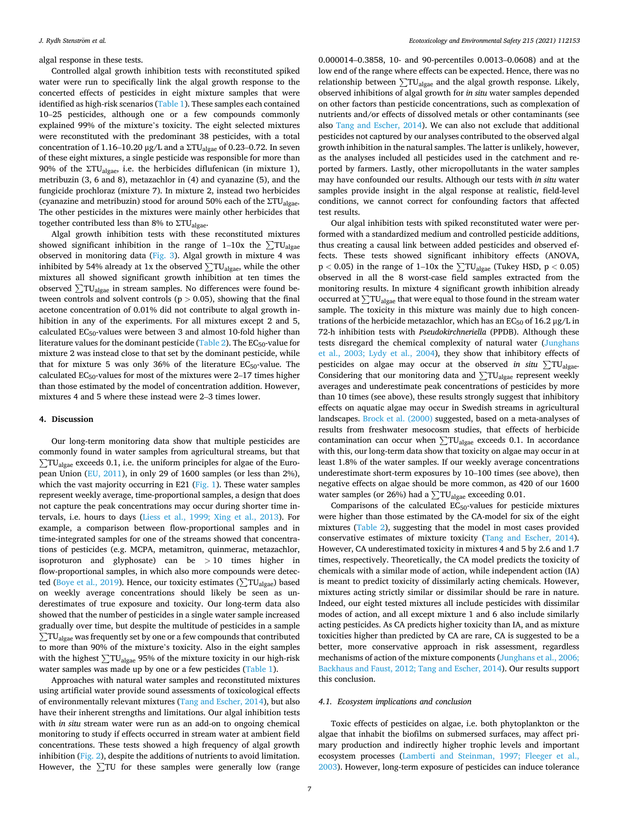algal response in these tests.

Controlled algal growth inhibition tests with reconstituted spiked water were run to specifically link the algal growth response to the concerted effects of pesticides in eight mixture samples that were identified as high-risk scenarios ([Table 1\)](#page-2-0). These samples each contained 10–25 pesticides, although one or a few compounds commonly explained 99% of the mixture's toxicity. The eight selected mixtures were reconstituted with the predominant 38 pesticides, with a total concentration of 1.16–10.20 μg/L and a ΣTU<sub>algae</sub> of 0.23–0.72. In seven of these eight mixtures, a single pesticide was responsible for more than 90% of the ΣTU<sub>algae</sub>, i.e. the herbicides diflufenican (in mixture 1), metribuzin (3, 6 and 8), metazachlor in (4) and cyanazine (5), and the fungicide prochloraz (mixture 7). In mixture 2, instead two herbicides (cyanazine and metribuzin) stood for around 50% each of the  $\text{STU}_{\text{algae}}$ . The other pesticides in the mixtures were mainly other herbicides that together contributed less than 8% to ΣTUalgae.

Algal growth inhibition tests with these reconstituted mixtures showed significant inhibition in the range of 1–10x the  $\Sigma T U_{\text{algae}}$ observed in monitoring data ([Fig. 3\)](#page-5-0). Algal growth in mixture 4 was inhibited by 54% already at 1x the observed  $\sum TU_{\text{algae}}$ , while the other mixtures all showed significant growth inhibition at ten times the observed  $\Sigma T U_{\text{alge}}$  in stream samples. No differences were found between controls and solvent controls ( $p > 0.05$ ), showing that the final acetone concentration of 0.01% did not contribute to algal growth inhibition in any of the experiments. For all mixtures except 2 and 5, calculated EC50-values were between 3 and almost 10-fold higher than literature values for the dominant pesticide ([Table 2](#page-5-0)). The  $EC_{50}$ -value for mixture 2 was instead close to that set by the dominant pesticide, while that for mixture 5 was only 36% of the literature  $EC_{50}$ -value. The calculated  $EC_{50}$ -values for most of the mixtures were 2–17 times higher than those estimated by the model of concentration addition. However, mixtures 4 and 5 where these instead were 2–3 times lower.

## **4. Discussion**

Our long-term monitoring data show that multiple pesticides are commonly found in water samples from agricultural streams, but that  $\Sigma T U_{\text{algae}}$  exceeds 0.1, i.e. the uniform principles for algae of the European Union [\(EU, 2011](#page-8-0)), in only 29 of 1600 samples (or less than 2%), which the vast majority occurring in E21 ( $Fig. 1$ ). These water samples represent weekly average, time-proportional samples, a design that does not capture the peak concentrations may occur during shorter time intervals, i.e. hours to days [\(Liess et al., 1999; Xing et al., 2013](#page-9-0)). For example, a comparison between flow-proportional samples and in time-integrated samples for one of the streams showed that concentrations of pesticides (e.g. MCPA, metamitron, quinmerac, metazachlor, isoproturon and glyphosate) can be *>* 10 times higher in flow-proportional samples, in which also more compounds were detec $t_{\text{c}}$  [\(Boye et al., 2019](#page-8-0)). Hence, our toxicity estimates ( $\sum \text{TU}_{\text{algae}}$ ) based on weekly average concentrations should likely be seen as underestimates of true exposure and toxicity. Our long-term data also showed that the number of pesticides in a single water sample increased gradually over time, but despite the multitude of pesticides in a sample ∑TU<sub>algae</sub> was frequently set by one or a few compounds that contributed to more than 90% of the mixture's toxicity. Also in the eight samples with the highest  $\Sigma T U_{\text{algae}}$  95% of the mixture toxicity in our high-risk water samples was made up by one or a few pesticides ([Table 1\)](#page-2-0).

Approaches with natural water samples and reconstituted mixtures using artificial water provide sound assessments of toxicological effects of environmentally relevant mixtures [\(Tang and Escher, 2014\)](#page-9-0), but also have their inherent strengths and limitations. Our algal inhibition tests with *in situ* stream water were run as an add-on to ongoing chemical monitoring to study if effects occurred in stream water at ambient field concentrations. These tests showed a high frequency of algal growth inhibition [\(Fig. 2\)](#page-4-0), despite the additions of nutrients to avoid limitation. However, the  $\Sigma$ TU for these samples were generally low (range

0.000014–0.3858, 10- and 90-percentiles 0.0013–0.0608) and at the low end of the range where effects can be expected. Hence, there was no relationship between  $\sum TU_{\text{algae}}$  and the algal growth response. Likely, observed inhibitions of algal growth for *in situ* water samples depended on other factors than pesticide concentrations, such as complexation of nutrients and/or effects of dissolved metals or other contaminants (see also [Tang and Escher, 2014](#page-9-0)). We can also not exclude that additional pesticides not captured by our analyses contributed to the observed algal growth inhibition in the natural samples. The latter is unlikely, however, as the analyses included all pesticides used in the catchment and reported by farmers. Lastly, other micropollutants in the water samples may have confounded our results. Although our tests with *in situ* water samples provide insight in the algal response at realistic, field-level conditions, we cannot correct for confounding factors that affected test results.

Our algal inhibition tests with spiked reconstituted water were performed with a standardized medium and controlled pesticide additions, thus creating a causal link between added pesticides and observed effects. These tests showed significant inhibitory effects (ANOVA, <sup>p</sup> *<sup>&</sup>lt;* 0.05) in the range of 1–10x the ∑TUalgae (Tukey HSD, p *<sup>&</sup>lt;* 0.05) observed in all the 8 worst-case field samples extracted from the monitoring results. In mixture 4 significant growth inhibition already occurred at  $\Sigma T U_{\text{algae}}$  that were equal to those found in the stream water sample. The toxicity in this mixture was mainly due to high concentrations of the herbicide metazachlor, which has an  $EC_{50}$  of 16.2  $\mu$ g/L in 72-h inhibition tests with *Pseudokirchneriella* (PPDB). Although these tests disregard the chemical complexity of natural water [\(Junghans](#page-8-0)  [et al., 2003; Lydy et al., 2004](#page-8-0)), they show that inhibitory effects of pesticides on algae may occur at the observed *in situ* ∑TUalgae. Considering that our monitoring data and  $\Sigma T U_{\text{aleae}}$  represent weekly averages and underestimate peak concentrations of pesticides by more than 10 times (see above), these results strongly suggest that inhibitory effects on aquatic algae may occur in Swedish streams in agricultural landscapes. [Brock et al. \(2000\)](#page-8-0) suggested, based on a meta-analyses of results from freshwater mesocosm studies, that effects of herbicide contamination can occur when  $\Sigma T U_{\text{algae}}$  exceeds 0.1. In accordance with this, our long-term data show that toxicity on algae may occur in at least 1.8% of the water samples. If our weekly average concentrations underestimate short-term exposures by 10–100 times (see above), then negative effects on algae should be more common, as 420 of our 1600 water samples (or 26%) had a  $\sum TU_{\text{algae}}$  exceeding 0.01.

Comparisons of the calculated  $EC_{50}$ -values for pesticide mixtures were higher than those estimated by the CA-model for six of the eight mixtures [\(Table 2](#page-5-0)), suggesting that the model in most cases provided conservative estimates of mixture toxicity ([Tang and Escher, 2014](#page-9-0)). However, CA underestimated toxicity in mixtures 4 and 5 by 2.6 and 1.7 times, respectively. Theoretically, the CA model predicts the toxicity of chemicals with a similar mode of action, while independent action (IA) is meant to predict toxicity of dissimilarly acting chemicals. However, mixtures acting strictly similar or dissimilar should be rare in nature. Indeed, our eight tested mixtures all include pesticides with dissimilar modes of action, and all except mixture 1 and 6 also include similarly acting pesticides. As CA predicts higher toxicity than IA, and as mixture toxicities higher than predicted by CA are rare, CA is suggested to be a better, more conservative approach in risk assessment, regardless mechanisms of action of the mixture components [\(Junghans et al., 2006;](#page-8-0)  [Backhaus and Faust, 2012; Tang and Escher, 2014\)](#page-8-0). Our results support this conclusion.

#### *4.1. Ecosystem implications and conclusion*

Toxic effects of pesticides on algae, i.e. both phytoplankton or the algae that inhabit the biofilms on submersed surfaces, may affect primary production and indirectly higher trophic levels and important ecosystem processes [\(Lamberti and Steinman, 1997; Fleeger et al.,](#page-9-0)  [2003\)](#page-9-0). However, long-term exposure of pesticides can induce tolerance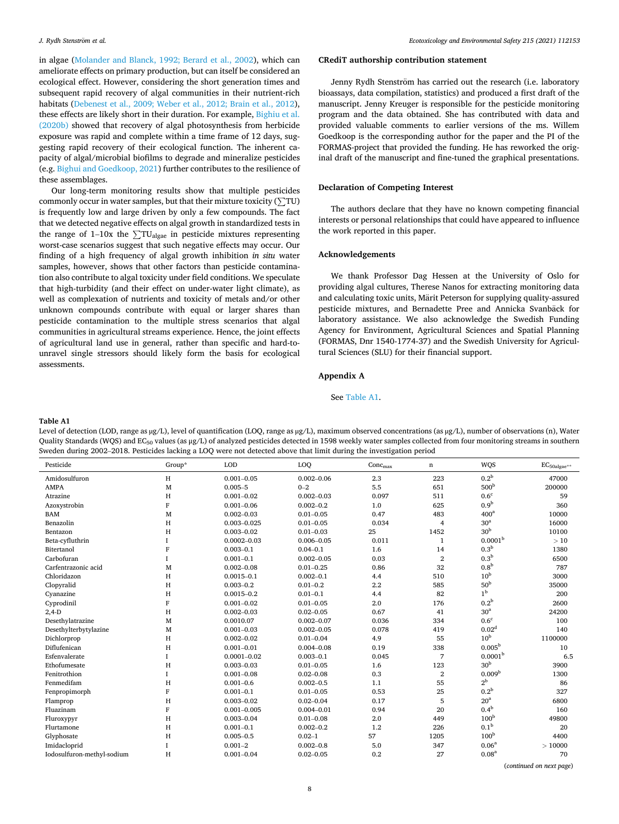<span id="page-7-0"></span>in algae ([Molander and Blanck, 1992; Berard et al., 2002\)](#page-9-0), which can ameliorate effects on primary production, but can itself be considered an ecological effect. However, considering the short generation times and subsequent rapid recovery of algal communities in their nutrient-rich habitats [\(Debenest et al., 2009; Weber et al., 2012; Brain et al., 2012](#page-8-0)), these effects are likely short in their duration. For example, [Bighiu et al.](#page-8-0)  [\(2020b\)](#page-8-0) showed that recovery of algal photosynthesis from herbicide exposure was rapid and complete within a time frame of 12 days, suggesting rapid recovery of their ecological function. The inherent capacity of algal/microbial biofilms to degrade and mineralize pesticides (e.g. [Bighui and Goedkoop, 2021](#page-8-0)) further contributes to the resilience of these assemblages.

Our long-term monitoring results show that multiple pesticides  $\frac{1}{2}$  commonly occur in water samples, but that their mixture toxicity ( $\sum$ TU) is frequently low and large driven by only a few compounds. The fact that we detected negative effects on algal growth in standardized tests in the range of 1–10x the  $\sum T U_{\text{algae}}$  in pesticide mixtures representing worst-case scenarios suggest that such negative effects may occur. Our finding of a high frequency of algal growth inhibition *in situ* water samples, however, shows that other factors than pesticide contamination also contribute to algal toxicity under field conditions. We speculate that high-turbidity (and their effect on under-water light climate), as well as complexation of nutrients and toxicity of metals and/or other unknown compounds contribute with equal or larger shares than pesticide contamination to the multiple stress scenarios that algal communities in agricultural streams experience. Hence, the joint effects of agricultural land use in general, rather than specific and hard-tounravel single stressors should likely form the basis for ecological assessments.

# **CRediT authorship contribution statement**

Jenny Rydh Stenström has carried out the research (i.e. laboratory bioassays, data compilation, statistics) and produced a first draft of the manuscript. Jenny Kreuger is responsible for the pesticide monitoring program and the data obtained. She has contributed with data and provided valuable comments to earlier versions of the ms. Willem Goedkoop is the corresponding author for the paper and the PI of the FORMAS-project that provided the funding. He has reworked the original draft of the manuscript and fine-tuned the graphical presentations.

## **Declaration of Competing Interest**

The authors declare that they have no known competing financial interests or personal relationships that could have appeared to influence the work reported in this paper.

## **Acknowledgements**

We thank Professor Dag Hessen at the University of Oslo for providing algal cultures, Therese Nanos for extracting monitoring data and calculating toxic units, Märit Peterson for supplying quality-assured pesticide mixtures, and Bernadette Pree and Annicka Svanbäck for laboratory assistance. We also acknowledge the Swedish Funding Agency for Environment, Agricultural Sciences and Spatial Planning (FORMAS, Dnr 1540-1774-37) and the Swedish University for Agricultural Sciences (SLU) for their financial support.

#### **Appendix A**

## See Table A1.

#### **Table A1**

Level of detection (LOD, range as µg/L), level of quantification (LOQ, range as µg/L), maximum observed concentrations (as µg/L), number of observations (n), Water Quality Standards (WQS) and EC<sub>50</sub> values (as µg/L) of analyzed pesticides detected in 1598 weekly water samples collected from four monitoring streams in southern Sweden during 2002–2018. Pesticides lacking a LOQ were not detected above that limit during the investigation period

| Pesticide                  | Group*      | <b>LOD</b>      | LOQ            | Conc <sub>max</sub> | n              | WQS                 | $\text{EC}_{\text{50algae}^{**}}$ |
|----------------------------|-------------|-----------------|----------------|---------------------|----------------|---------------------|-----------------------------------|
| Amidosulfuron              | H           | $0.001 - 0.05$  | $0.002 - 0.06$ | 2.3                 | 223            | 0.2 <sup>b</sup>    | 47000                             |
| <b>AMPA</b>                | M           | $0.005 - 5$     | $0 - 2$        | 5.5                 | 651            | 500 <sup>b</sup>    | 200000                            |
| Atrazine                   | H           | $0.001 - 0.02$  | $0.002 - 0.03$ | 0.097               | 511            | 0.6 <sup>c</sup>    | 59                                |
| Azoxystrobin               | F           | $0.001 - 0.06$  | $0.002 - 0.2$  | 1.0                 | 625            | 0.9 <sup>b</sup>    | 360                               |
| <b>BAM</b>                 | M           | $0.002 - 0.03$  | $0.01 - 0.05$  | 0.47                | 483            | 400 <sup>a</sup>    | 10000                             |
| Benazolin                  | H           | $0.003 - 0.025$ | $0.01 - 0.05$  | 0.034               | $\overline{4}$ | 30 <sup>a</sup>     | 16000                             |
| Bentazon                   | H           | $0.003 - 0.02$  | $0.01 - 0.03$  | 25                  | 1452           | 30 <sup>b</sup>     | 10100                             |
| Beta-cyfluthrin            |             | $0.0002 - 0.03$ | $0.006 - 0.05$ | 0.011               | $\mathbf{1}$   | 0.0001 <sup>b</sup> | >10                               |
| Bitertanol                 | F           | $0.003 - 0.1$   | $0.04 - 0.1$   | 1.6                 | 14             | 0.3 <sup>b</sup>    | 1380                              |
| Carbofuran                 |             | $0.001 - 0.1$   | $0.002 - 0.05$ | 0.03                | $\overline{2}$ | 0.3 <sup>b</sup>    | 6500                              |
| Carfentrazonic acid        | M           | $0.002 - 0.08$  | $0.01 - 0.25$  | 0.86                | 32             | 0.8 <sup>b</sup>    | 787                               |
| Chloridazon                | H           | $0.0015 - 0.1$  | $0.002 - 0.1$  | 4.4                 | 510            | 10 <sup>b</sup>     | 3000                              |
| Clopyralid                 | H           | $0.003 - 0.2$   | $0.01 - 0.2$   | 2.2                 | 585            | 50 <sup>b</sup>     | 35000                             |
| Cyanazine                  | H           | $0.0015 - 0.2$  | $0.01 - 0.1$   | 4.4                 | 82             | 1 <sup>b</sup>      | 200                               |
| Cyprodinil                 | $\mathbf F$ | $0.001 - 0.02$  | $0.01 - 0.05$  | 2.0                 | 176            | 0.2 <sup>b</sup>    | 2600                              |
| $2,4-D$                    | H           | $0.002 - 0.03$  | $0.02 - 0.05$  | 0.67                | 41             | 30 <sup>a</sup>     | 24200                             |
| Desethylatrazine           | M           | 0.0010.07       | $0.002 - 0.07$ | 0.036               | 334            | 0.6 <sup>c</sup>    | 100                               |
| Desethylterbytylazine      | M           | $0.001 - 0.03$  | $0.002 - 0.05$ | 0.078               | 419            | 0.02 <sup>d</sup>   | 140                               |
| Dichlorprop                | H           | $0.002 - 0.02$  | $0.01 - 0.04$  | 4.9                 | 55             | 10 <sup>b</sup>     | 1100000                           |
| Diflufenican               | H           | $0.001 - 0.01$  | $0.004 - 0.08$ | 0.19                | 338            | $0.005^{\rm b}$     | 10                                |
| Esfenvalerate              |             | $0.0001 - 0.02$ | $0.003 - 0.1$  | 0.045               | $\overline{7}$ | 0.0001 <sup>b</sup> | 6.5                               |
| Ethofumesate               | H           | $0.003 - 0.03$  | $0.01 - 0.05$  | 1.6                 | 123            | 30 <sup>b</sup>     | 3900                              |
| Fenitrothion               |             | $0.001 - 0.08$  | $0.02 - 0.08$  | 0.3                 | $\overline{2}$ | 0.009 <sup>b</sup>  | 1300                              |
| Fenmedifam                 | H           | $0.001 - 0.6$   | $0.002 - 0.5$  | 1.1                 | 55             | $2^{\rm b}$         | 86                                |
| Fenpropimorph              | F           | $0.001 - 0.1$   | $0.01 - 0.05$  | 0.53                | 25             | $0.2^{\rm b}$       | 327                               |
| Flamprop                   | H           | $0.003 - 0.02$  | $0.02 - 0.04$  | 0.17                | 5              | 20 <sup>a</sup>     | 6800                              |
| Fluazinam                  | F           | $0.001 - 0.005$ | $0.004 - 0.01$ | 0.94                | 20             | 0.4 <sup>b</sup>    | 160                               |
| Fluroxypyr                 | H           | $0.003 - 0.04$  | $0.01 - 0.08$  | 2.0                 | 449            | 100 <sup>b</sup>    | 49800                             |
| Flurtamone                 | H           | $0.001 - 0.1$   | $0.002 - 0.2$  | 1.2                 | 226            | 0.1 <sup>b</sup>    | 20                                |
| Glyphosate                 | H           | $0.005 - 0.5$   | $0.02 - 1$     | 57                  | 1205           | 100 <sup>b</sup>    | 4400                              |
| Imidacloprid               |             | $0.001 - 2$     | $0.002 - 0.8$  | 5.0                 | 347            | 0.06 <sup>a</sup>   | >10000                            |
| Iodosulfuron-methyl-sodium | H           | $0.001 - 0.04$  | $0.02 - 0.05$  | 0.2                 | 27             | 0.08 <sup>a</sup>   | 70                                |

(*continued on next page*)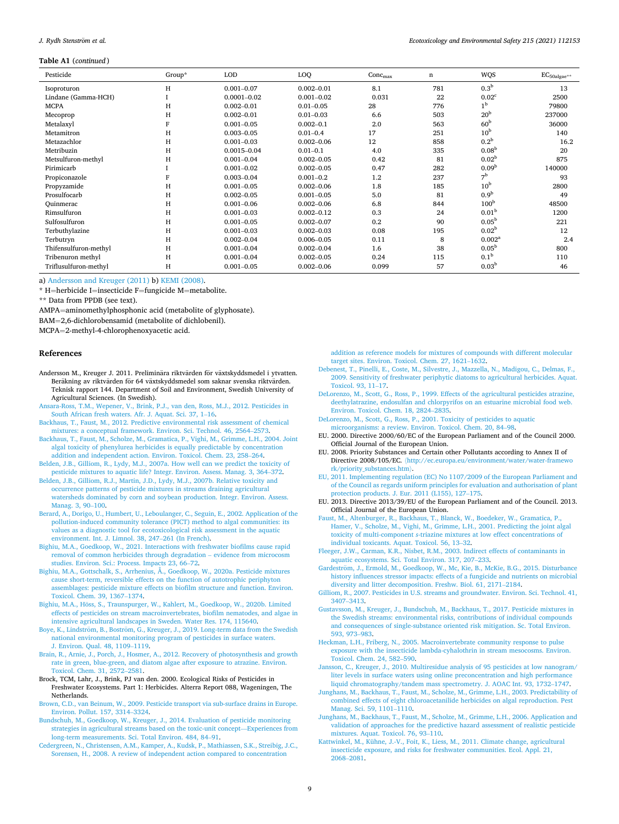#### <span id="page-8-0"></span>**Table A1** (*continued* )

| Pesticide             | Group* | <b>LOD</b>      | LOQ            | Conc <sub>max</sub> | n   | <b>WQS</b>         | $\text{EC}_{\text{50algae}^{**}}$ |
|-----------------------|--------|-----------------|----------------|---------------------|-----|--------------------|-----------------------------------|
| Isoproturon           | H      | $0.001 - 0.07$  | $0.002 - 0.01$ | 8.1                 | 781 | 0.3 <sup>b</sup>   | 13                                |
| Lindane (Gamma-HCH)   |        | $0.0001 - 0.02$ | $0.001 - 0.02$ | 0.031               | 22  | 0.02 <sup>c</sup>  | 2500                              |
| <b>MCPA</b>           | H      | $0.002 - 0.01$  | $0.01 - 0.05$  | 28                  | 776 | 1 <sup>b</sup>     | 79800                             |
| Mecoprop              | н      | $0.002 - 0.01$  | $0.01 - 0.03$  | 6.6                 | 503 | 20 <sup>b</sup>    | 237000                            |
| Metalaxyl             |        | $0.001 - 0.05$  | $0.002 - 0.1$  | 2.0                 | 563 | 60 <sup>b</sup>    | 36000                             |
| Metamitron            | H      | $0.003 - 0.05$  | $0.01 - 0.4$   | 17                  | 251 | 10 <sup>b</sup>    | 140                               |
| Metazachlor           | H      | $0.001 - 0.03$  | $0.002 - 0.06$ | 12                  | 858 | 0.2 <sup>b</sup>   | 16.2                              |
| Metribuzin            | H      | $0.0015 - 0.04$ | $0.01 - 0.1$   | 4.0                 | 335 | 0.08 <sup>b</sup>  | 20                                |
| Metsulfuron-methyl    | н      | $0.001 - 0.04$  | $0.002 - 0.05$ | 0.42                | 81  | 0.02 <sup>b</sup>  | 875                               |
| Pirimicarb            |        | $0.001 - 0.02$  | $0.002 - 0.05$ | 0.47                | 282 | 0.09 <sup>b</sup>  | 140000                            |
| Propiconazole         |        | $0.003 - 0.04$  | $0.001 - 0.2$  | 1.2                 | 237 | 7 <sup>b</sup>     | 93                                |
| Propyzamide           | H      | $0.001 - 0.05$  | $0.002 - 0.06$ | 1.8                 | 185 | 10 <sup>b</sup>    | 2800                              |
| Prosulfocarb          | H      | $0.002 - 0.05$  | $0.001 - 0.05$ | 5.0                 | 81  | 0.9 <sup>b</sup>   | 49                                |
| Quinmerac             | H      | $0.001 - 0.06$  | $0.002 - 0.06$ | 6.8                 | 844 | 100 <sup>b</sup>   | 48500                             |
| Rimsulfuron           | H      | $0.001 - 0.03$  | $0.002 - 0.12$ | 0.3                 | 24  | 0.01 <sup>b</sup>  | 1200                              |
| Sulfosulfuron         | н      | $0.001 - 0.05$  | $0.002 - 0.07$ | 0.2                 | 90  | 0.05 <sup>b</sup>  | 221                               |
| Terbuthylazine        | H      | $0.001 - 0.03$  | $0.002 - 0.03$ | 0.08                | 195 | 0.02 <sup>b</sup>  | 12                                |
| Terbutryn             | н      | $0.002 - 0.04$  | $0.006 - 0.05$ | 0.11                | 8   | 0.002 <sup>a</sup> | 2.4                               |
| Thifensulfuron-methyl | H      | $0.001 - 0.04$  | $0.002 - 0.04$ | 1.6                 | 38  | 0.05 <sup>b</sup>  | 800                               |
| Tribenuron methyl     | H      | $0.001 - 0.04$  | $0.002 - 0.05$ | 0.24                | 115 | 0.1 <sup>b</sup>   | 110                               |
| Triflusulfuron-methyl | H      | $0.001 - 0.05$  | $0.002 - 0.06$ | 0.099               | 57  | 0.03 <sup>b</sup>  | 46                                |

a) Andersson and Kreuger (2011) b) [KEMI \(2008\).](#page-9-0)

\* H=herbicide I=insecticide F=fungicide M=metabolite.

\*\* Data from PPDB (see text).

AMPA=aminomethylphosphonic acid (metabolite of glyphosate).

BAM=2,6-dichlorobensamid (metabolite of dichlobenil).

MCPA=2-methyl-4-chlorophenoxyacetic acid.

#### **References**

- Andersson M., Kreuger J. 2011. Preliminära riktvärden för växtskyddsmedel i ytvatten. Beräkning av riktvärden för 64 växtskyddsmedel som saknar svenska riktvärden. Teknisk rapport 144. Department of Soil and Environment, Swedish University of Agricultural Sciences. (In Swedish).
- [Ansara-Ross, T.M., Wepener, V., Brink, P.J., van den, Ross, M.J., 2012. Pesticides in](http://refhub.elsevier.com/S0147-6513(21)00264-5/sbref1)  [South African fresh waters. Afr. J. Aquat. Sci. 37, 1](http://refhub.elsevier.com/S0147-6513(21)00264-5/sbref1)–16.
- [Backhaus, T., Faust, M., 2012. Predictive environmental risk assessment of chemical](http://refhub.elsevier.com/S0147-6513(21)00264-5/sbref2) [mixtures: a conceptual framework. Environ. Sci. Technol. 46, 2564](http://refhub.elsevier.com/S0147-6513(21)00264-5/sbref2)–2573.
- [Backhaus, T., Faust, M., Scholze, M., Gramatica, P., Vighi, M., Grimme, L.H., 2004. Joint](http://refhub.elsevier.com/S0147-6513(21)00264-5/sbref3)  [algal toxicity of phenylurea herbicides is equally predictable by concentration](http://refhub.elsevier.com/S0147-6513(21)00264-5/sbref3) [addition and independent action. Environ. Toxicol. Chem. 23, 258](http://refhub.elsevier.com/S0147-6513(21)00264-5/sbref3)–264.
- [Belden, J.B., Gilliom, R., Lydy, M.J., 2007a. How well can we predict the toxicity of](http://refhub.elsevier.com/S0147-6513(21)00264-5/sbref4)  [pesticide mixtures to aquatic life? Integr. Environ. Assess. Manag. 3, 364](http://refhub.elsevier.com/S0147-6513(21)00264-5/sbref4)–372.
- [Belden, J.B., Gilliom, R.J., Martin, J.D., Lydy, M.J., 2007b. Relative toxicity and](http://refhub.elsevier.com/S0147-6513(21)00264-5/sbref5) [occurrence patterns of pesticide mixtures in streams draining agricultural](http://refhub.elsevier.com/S0147-6513(21)00264-5/sbref5) [watersheds dominated by corn and soybean production. Integr. Environ. Assess.](http://refhub.elsevier.com/S0147-6513(21)00264-5/sbref5)  [Manag. 3, 90](http://refhub.elsevier.com/S0147-6513(21)00264-5/sbref5)–100.
- [Berard, A., Dorigo, U., Humbert, U., Leboulanger, C., Seguin, E., 2002. Application of the](http://refhub.elsevier.com/S0147-6513(21)00264-5/sbref6)  [pollution-induced community tolerance \(PICT\) method to algal communities: its](http://refhub.elsevier.com/S0147-6513(21)00264-5/sbref6)  [values as a diagnostic tool for ecotoxicological risk assessment in the aquatic](http://refhub.elsevier.com/S0147-6513(21)00264-5/sbref6)  [environment. Int. J. Limnol. 38, 247](http://refhub.elsevier.com/S0147-6513(21)00264-5/sbref6)–261 (In French).
- [Bighiu, M.A., Goedkoop, W., 2021. Interactions with freshwater biofilms cause rapid](http://refhub.elsevier.com/S0147-6513(21)00264-5/sbref7) [removal of common herbicides through degradation](http://refhub.elsevier.com/S0147-6513(21)00264-5/sbref7) – evidence from microcosm [studies. Environ. Sci.: Process. Impacts 23, 66](http://refhub.elsevier.com/S0147-6513(21)00264-5/sbref7)–72.
- [Bighiu, M.A., Gottschalk, S., Arrhenius, Å., Goedkoop, W., 2020a. Pesticide mixtures](http://refhub.elsevier.com/S0147-6513(21)00264-5/sbref8) [cause short-term, reversible effects on the function of autotrophic periphyton](http://refhub.elsevier.com/S0147-6513(21)00264-5/sbref8) [assemblages: pesticide mixture effects on biofilm structure and function. Environ.](http://refhub.elsevier.com/S0147-6513(21)00264-5/sbref8) [Toxicol. Chem. 39, 1367](http://refhub.elsevier.com/S0147-6513(21)00264-5/sbref8)–1374.
- Bighiu, M.A., Höss, [S., Traunspurger, W., Kahlert, M., Goedkoop, W., 2020b. Limited](http://refhub.elsevier.com/S0147-6513(21)00264-5/sbref9) [effects of pesticides on stream macroinvertebrates, biofilm nematodes, and algae in](http://refhub.elsevier.com/S0147-6513(21)00264-5/sbref9)  [intensive agricultural landscapes in Sweden. Water Res. 174, 115640](http://refhub.elsevier.com/S0147-6513(21)00264-5/sbref9).
- Boye, K., Lindström, B., Boström, G., Kreuger, J., 2019. Long-term data from the Swedish [national environmental monitoring program of pesticides in surface waters.](http://refhub.elsevier.com/S0147-6513(21)00264-5/sbref10) [J. Environ. Qual. 48, 1109](http://refhub.elsevier.com/S0147-6513(21)00264-5/sbref10)–1119.
- [Brain, R., Arnie, J., Porch, J., Hosmer, A., 2012. Recovery of photosynthesis and growth](http://refhub.elsevier.com/S0147-6513(21)00264-5/sbref11)  [rate in green, blue-green, and diatom algae after exposure to atrazine. Environ.](http://refhub.elsevier.com/S0147-6513(21)00264-5/sbref11) [Toxicol. Chem. 31, 2572](http://refhub.elsevier.com/S0147-6513(21)00264-5/sbref11)–2581.
- Brock, TCM, Lahr, J., Brink, PJ van den. 2000. Ecological Risks of Pesticides in Freshwater Ecosystems. Part 1: Herbicides. Alterra Report 088, Wageningen, The Netherlands.
- [Brown, C.D., van Beinum, W., 2009. Pesticide transport via sub-surface drains in Europe.](http://refhub.elsevier.com/S0147-6513(21)00264-5/sbref12)  [Environ. Pollut. 157, 3314](http://refhub.elsevier.com/S0147-6513(21)00264-5/sbref12)–3324.
- [Bundschuh, M., Goedkoop, W., Kreuger, J., 2014. Evaluation of pesticide monitoring](http://refhub.elsevier.com/S0147-6513(21)00264-5/sbref13)  [strategies in agricultural streams based on the toxic-unit concept](http://refhub.elsevier.com/S0147-6513(21)00264-5/sbref13)––Experiences from [long-term measurements. Sci. Total Environ. 484, 84](http://refhub.elsevier.com/S0147-6513(21)00264-5/sbref13)–91.

[Cedergreen, N., Christensen, A.M., Kamper, A., Kudsk, P., Mathiassen, S.K., Streibig, J.C.,](http://refhub.elsevier.com/S0147-6513(21)00264-5/sbref14)  [Sorensen, H., 2008. A review of independent action compared to concentration](http://refhub.elsevier.com/S0147-6513(21)00264-5/sbref14)

[addition as reference models for mixtures of compounds with different molecular](http://refhub.elsevier.com/S0147-6513(21)00264-5/sbref14)  [target sites. Environ. Toxicol. Chem. 27, 1621](http://refhub.elsevier.com/S0147-6513(21)00264-5/sbref14)–1632.

- [Debenest, T., Pinelli, E., Coste, M., Silvestre, J., Mazzella, N., Madigou, C., Delmas, F.,](http://refhub.elsevier.com/S0147-6513(21)00264-5/sbref15) [2009. Sensitivity of freshwater periphytic diatoms to agricultural herbicides. Aquat.](http://refhub.elsevier.com/S0147-6513(21)00264-5/sbref15)  [Toxicol. 93, 11](http://refhub.elsevier.com/S0147-6513(21)00264-5/sbref15)–17.
- [DeLorenzo, M., Scott, G., Ross, P., 1999. Effects of the agricultural pesticides atrazine,](http://refhub.elsevier.com/S0147-6513(21)00264-5/sbref16)  [deethylatrazine, endosulfan and chlorpyrifos on an estuarine microbial food web.](http://refhub.elsevier.com/S0147-6513(21)00264-5/sbref16) [Environ. Toxicol. Chem. 18, 2824](http://refhub.elsevier.com/S0147-6513(21)00264-5/sbref16)–2835.
- [DeLorenzo, M., Scott, G., Ross, P., 2001. Toxicity of pesticides to aquatic](http://refhub.elsevier.com/S0147-6513(21)00264-5/sbref17)  [microorganisms: a review. Environ. Toxicol. Chem. 20, 84](http://refhub.elsevier.com/S0147-6513(21)00264-5/sbref17)–98.
- EU. 2000. Directive 2000/60/EC of the European Parliament and of the Council 2000. Official Journal of the European Union.
- EU. 2008. Priority Substances and Certain other Pollutants according to Annex II of Directive 2008/105/EC. 〈[http://ec.europa.eu/environment/water/water-framewo](http://ec.europa.eu/environment/water/water-framework/priority_substances.htm) [rk/priority\\_substances.htm](http://ec.europa.eu/environment/water/water-framework/priority_substances.htm)〉.
- [EU, 2011. Implementing regulation \(EC\) No 1107/2009 of the European Parliament and](http://refhub.elsevier.com/S0147-6513(21)00264-5/sbref18)  [of the Council as regards uniform principles for evaluation and authorisation of plant](http://refhub.elsevier.com/S0147-6513(21)00264-5/sbref18)  [protection products. J. Eur. 2011 \(L155\), 127](http://refhub.elsevier.com/S0147-6513(21)00264-5/sbref18)–175.
- EU. 2013. Directive 2013/39/EU of the European Parliament and of the Council. 2013. Official Journal of the European Union.
- [Faust, M., Altenburger, R., Backhaus, T., Blanck, W., Boedeker, W., Gramatica, P.,](http://refhub.elsevier.com/S0147-6513(21)00264-5/sbref19)  [Hamer, V., Scholze, M., Vighi, M., Grimme, L.H., 2001. Predicting the joint algal](http://refhub.elsevier.com/S0147-6513(21)00264-5/sbref19)  toxicity of multi-component *s*[-triazine mixtures at low effect concentrations of](http://refhub.elsevier.com/S0147-6513(21)00264-5/sbref19)  [individual toxicants. Aquat. Toxicol. 56, 13](http://refhub.elsevier.com/S0147-6513(21)00264-5/sbref19)–32.
- [Fleeger, J.W., Carman, K.R., Nisbet, R.M., 2003. Indirect effects of contaminants in](http://refhub.elsevier.com/S0147-6513(21)00264-5/sbref20) [aquatic ecosystems. Sci. Total Environ. 317, 207](http://refhub.elsevier.com/S0147-6513(21)00264-5/sbref20)–233.
- Gardeström, J., Ermold, M., Goedkoop, W., Mc, Kie, B., McKie, B.G., 2015. Disturbance [history influences stressor impacts: effects of a fungicide and nutrients on microbial](http://refhub.elsevier.com/S0147-6513(21)00264-5/sbref21)  [diversity and litter decomposition. Freshw. Biol. 61, 2171](http://refhub.elsevier.com/S0147-6513(21)00264-5/sbref21)–2184.
- [Gilliom, R., 2007. Pesticides in U.S. streams and groundwater. Environ. Sci. Technol. 41,](http://refhub.elsevier.com/S0147-6513(21)00264-5/sbref22)  [3407](http://refhub.elsevier.com/S0147-6513(21)00264-5/sbref22)–3413.
- [Gustavsson, M., Kreuger, J., Bundschuh, M., Backhaus, T., 2017. Pesticide mixtures in](http://refhub.elsevier.com/S0147-6513(21)00264-5/sbref23) [the Swedish streams: environmental risks, contributions of individual compounds](http://refhub.elsevier.com/S0147-6513(21)00264-5/sbref23)  [and consequences of single-substance oriented risk mitigation. Sc. Total Environ.](http://refhub.elsevier.com/S0147-6513(21)00264-5/sbref23) [593, 973](http://refhub.elsevier.com/S0147-6513(21)00264-5/sbref23)–983.
- [Heckman, L.H., Friberg, N., 2005. Macroinvertebrate community response to pulse](http://refhub.elsevier.com/S0147-6513(21)00264-5/sbref24) [exposure with the insecticide lambda-cyhalothrin in stream mesocosms. Environ.](http://refhub.elsevier.com/S0147-6513(21)00264-5/sbref24)  [Toxicol. Chem. 24, 582](http://refhub.elsevier.com/S0147-6513(21)00264-5/sbref24)–590.
- [Jansson, C., Kreuger, J., 2010. Multiresidue analysis of 95 pesticides at low nanogram/](http://refhub.elsevier.com/S0147-6513(21)00264-5/sbref25)  [liter levels in surface waters using online preconcentration and high performance](http://refhub.elsevier.com/S0147-6513(21)00264-5/sbref25)  [liquid chromatography/tandem mass spectrometry. J. AOAC Int. 93, 1732](http://refhub.elsevier.com/S0147-6513(21)00264-5/sbref25)–1747.
- [Junghans, M., Backhaus, T., Faust, M., Scholze, M., Grimme, L.H., 2003. Predictability of](http://refhub.elsevier.com/S0147-6513(21)00264-5/sbref26)  [combined effects of eight chloroacetanilide herbicides on algal reproduction. Pest](http://refhub.elsevier.com/S0147-6513(21)00264-5/sbref26) [Manag. Sci. 59, 1101](http://refhub.elsevier.com/S0147-6513(21)00264-5/sbref26)–1110.
- [Junghans, M., Backhaus, T., Faust, M., Scholze, M., Grimme, L.H., 2006. Application and](http://refhub.elsevier.com/S0147-6513(21)00264-5/sbref27)  [validation of approaches for the predictive hazard assessment of realistic pesticide](http://refhub.elsevier.com/S0147-6513(21)00264-5/sbref27)  [mixtures. Aquat. Toxicol. 76, 93](http://refhub.elsevier.com/S0147-6513(21)00264-5/sbref27)–110.
- [Kattwinkel, M., Kühne, J.-V., Foit, K., Liess, M., 2011. Climate change, agricultural](http://refhub.elsevier.com/S0147-6513(21)00264-5/sbref28)  [insecticide exposure, and risks for freshwater communities. Ecol. Appl. 21,](http://refhub.elsevier.com/S0147-6513(21)00264-5/sbref28)  [2068](http://refhub.elsevier.com/S0147-6513(21)00264-5/sbref28)–2081.